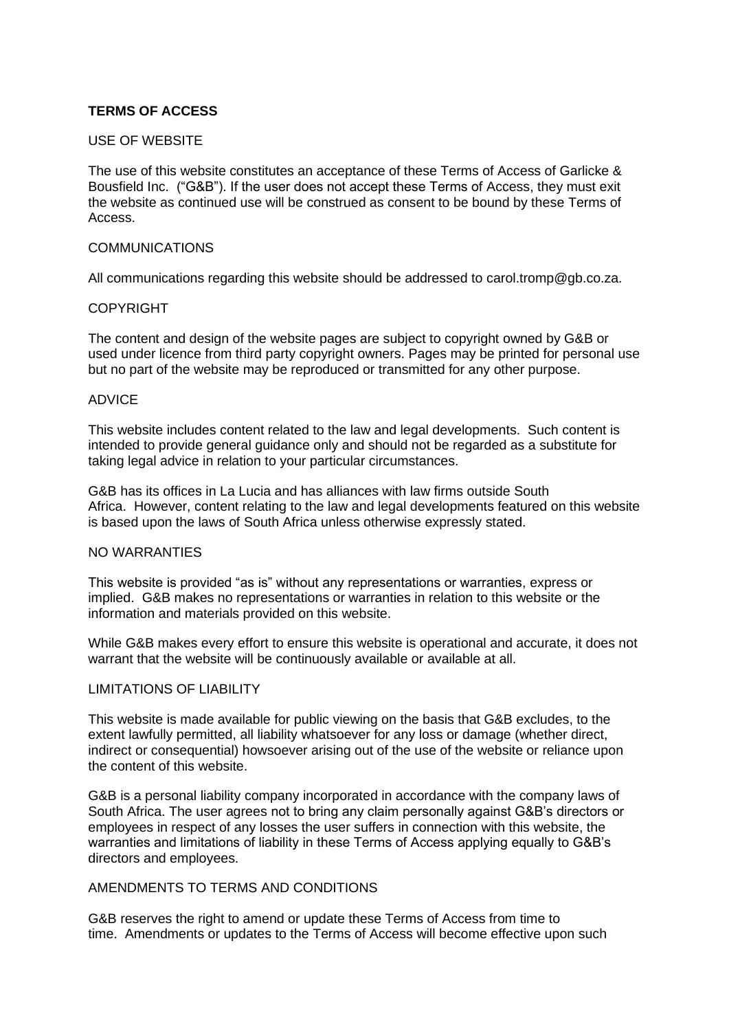# **TERMS OF ACCESS**

## USE OF WEBSITE

The use of this website constitutes an acceptance of these Terms of Access of Garlicke & Bousfield Inc. ("G&B"). If the user does not accept these Terms of Access, they must exit the website as continued use will be construed as consent to be bound by these Terms of Access.

## COMMUNICATIONS

All communications regarding this website should be addressed to [carol.tromp@gb.co.za.](mailto:carol.tromp@gb.co.za.)

### COPYRIGHT

The content and design of the website pages are subject to copyright owned by G&B or used under licence from third party copyright owners. Pages may be printed for personal use but no part of the website may be reproduced or transmitted for any other purpose.

### ADVICE

This website includes content related to the law and legal developments. Such content is intended to provide general guidance only and should not be regarded as a substitute for taking legal advice in relation to your particular circumstances.

G&B has its offices in La Lucia and has alliances with law firms outside South Africa. However, content relating to the law and legal developments featured on this website is based upon the laws of South Africa unless otherwise expressly stated.

#### NO WARRANTIES

This website is provided "as is" without any representations or warranties, express or implied. G&B makes no representations or warranties in relation to this website or the information and materials provided on this website.

While G&B makes every effort to ensure this website is operational and accurate, it does not warrant that the website will be continuously available or available at all.

### LIMITATIONS OF LIABILITY

This website is made available for public viewing on the basis that G&B excludes, to the extent lawfully permitted, all liability whatsoever for any loss or damage (whether direct, indirect or consequential) howsoever arising out of the use of the website or reliance upon the content of this website.

G&B is a personal liability company incorporated in accordance with the company laws of South Africa. The user agrees not to bring any claim personally against G&B's directors or employees in respect of any losses the user suffers in connection with this website, the warranties and limitations of liability in these Terms of Access applying equally to G&B's directors and employees.

#### AMENDMENTS TO TERMS AND CONDITIONS

G&B reserves the right to amend or update these Terms of Access from time to time. Amendments or updates to the Terms of Access will become effective upon such